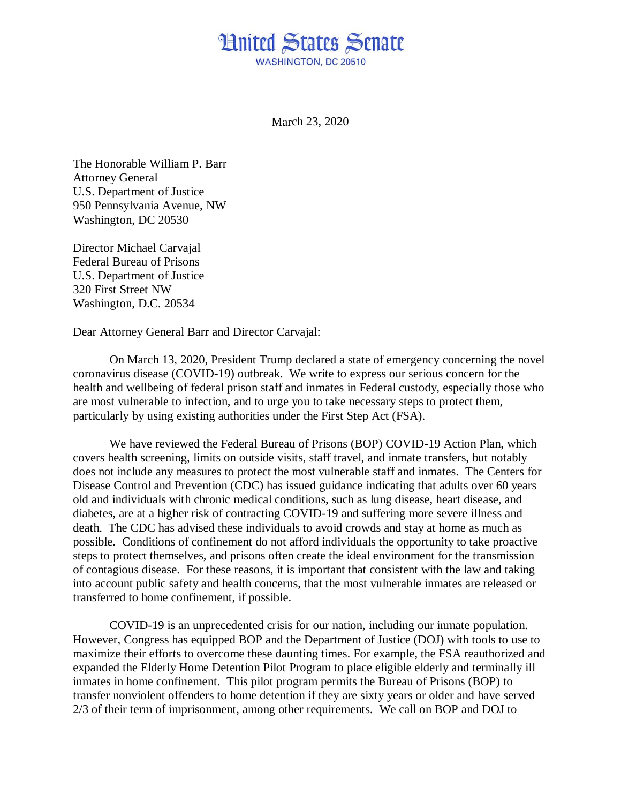## **Hnited States Senate** WASHINGTON, DC 20510

March 23, 2020

The Honorable William P. Barr Attorney General U.S. Department of Justice 950 Pennsylvania Avenue, NW Washington, DC 20530

Director Michael Carvajal Federal Bureau of Prisons U.S. Department of Justice 320 First Street NW Washington, D.C. 20534

Dear Attorney General Barr and Director Carvajal:

On March 13, 2020, President Trump declared a state of emergency concerning the novel coronavirus disease (COVID-19) outbreak. We write to express our serious concern for the health and wellbeing of federal prison staff and inmates in Federal custody, especially those who are most vulnerable to infection, and to urge you to take necessary steps to protect them, particularly by using existing authorities under the First Step Act (FSA).

We have reviewed the Federal Bureau of Prisons (BOP) COVID-19 Action Plan, which covers health screening, limits on outside visits, staff travel, and inmate transfers, but notably does not include any measures to protect the most vulnerable staff and inmates. The Centers for Disease Control and Prevention (CDC) has issued guidance indicating that adults over 60 years old and individuals with chronic medical conditions, such as lung disease, heart disease, and diabetes, are at a higher risk of contracting COVID-19 and suffering more severe illness and death. The CDC has advised these individuals to avoid crowds and stay at home as much as possible. Conditions of confinement do not afford individuals the opportunity to take proactive steps to protect themselves, and prisons often create the ideal environment for the transmission of contagious disease. For these reasons, it is important that consistent with the law and taking into account public safety and health concerns, that the most vulnerable inmates are released or transferred to home confinement, if possible.

COVID-19 is an unprecedented crisis for our nation, including our inmate population. However, Congress has equipped BOP and the Department of Justice (DOJ) with tools to use to maximize their efforts to overcome these daunting times. For example, the FSA reauthorized and expanded the Elderly Home Detention Pilot Program to place eligible elderly and terminally ill inmates in home confinement. This pilot program permits the Bureau of Prisons (BOP) to transfer nonviolent offenders to home detention if they are sixty years or older and have served 2/3 of their term of imprisonment, among other requirements. We call on BOP and DOJ to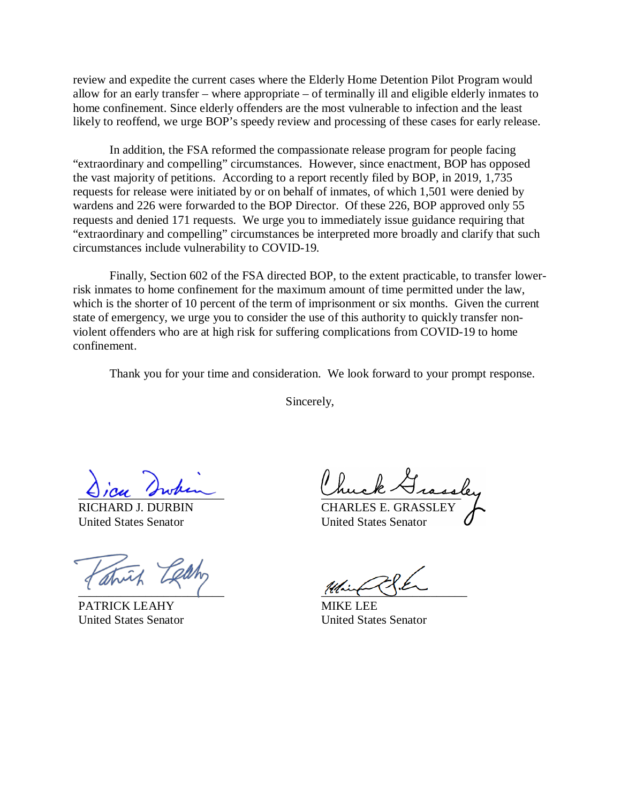review and expedite the current cases where the Elderly Home Detention Pilot Program would allow for an early transfer – where appropriate – of terminally ill and eligible elderly inmates to home confinement. Since elderly offenders are the most vulnerable to infection and the least likely to reoffend, we urge BOP's speedy review and processing of these cases for early release.

In addition, the FSA reformed the compassionate release program for people facing "extraordinary and compelling" circumstances. However, since enactment, BOP has opposed the vast majority of petitions. According to a report recently filed by BOP, in 2019, 1,735 requests for release were initiated by or on behalf of inmates, of which 1,501 were denied by wardens and 226 were forwarded to the BOP Director. Of these 226, BOP approved only 55 requests and denied 171 requests. We urge you to immediately issue guidance requiring that "extraordinary and compelling" circumstances be interpreted more broadly and clarify that such circumstances include vulnerability to COVID-19.

Finally, Section 602 of the FSA directed BOP, to the extent practicable, to transfer lowerrisk inmates to home confinement for the maximum amount of time permitted under the law, which is the shorter of 10 percent of the term of imprisonment or six months. Given the current state of emergency, we urge you to consider the use of this authority to quickly transfer nonviolent offenders who are at high risk for suffering complications from COVID-19 to home confinement.

Thank you for your time and consideration. We look forward to your prompt response.

Sincerely,

 $O$  ,  $Ou$  swam

RICHARD J. DURBIN United States Senator

 $\sim$   $\sim$   $\sim$   $\sim$   $\sim$   $\sim$ 

PATRICK LEAHY United States Senator

muck-Vissel

CHARLES E. GRASSLEY United States Senator

 $\frac{1}{2}$ 

MIKE LEE United States Senator